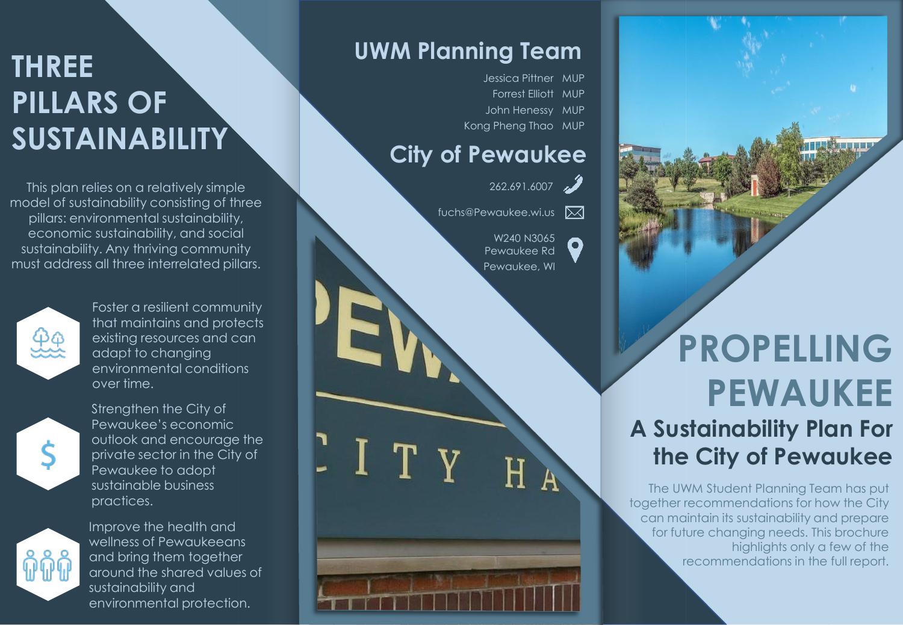# **THREE PILLARS OF SUSTAINABILITY**

This plan relies on a relatively simple model of sustainability consisting of three pillars: environmental sustainability, economic sustainability, and social sustainability. Any thriving community must address all three interrelated pillars.



Foster a resilient community that maintains and protects existing resources and can adapt to changing environmental conditions over time.



Strengthen the City of Pewaukee's economic outlook and encourage the private sector in the City of Pewaukee to adopt sustainable business practices.



Improve the health and wellness of Pewaukeeans and bring them together around the shared values of sustainability and environmental protection.

#### **UWM Planning Team**

Jessica Pittner MUP Forrest Elliott MUP John Henessy MUP Kong Pheng Thao MUP

#### **City of Pewaukee**

ITY



 $\mathbf{o}$ 

fuchs@Pewaukee.wi.us

W240 N3065 Pewaukee Rd Pewaukee, WI

 $\overline{\mathsf{H}}$ 

# **PROPELLING PEWAUKEE A Sustainability Plan For the City of Pewaukee**

The UWM Student Planning Team has put together recommendations for how the City can maintain its sustainability and prepare for future changing needs. This brochure highlights only a few of the recommendations in the full report.